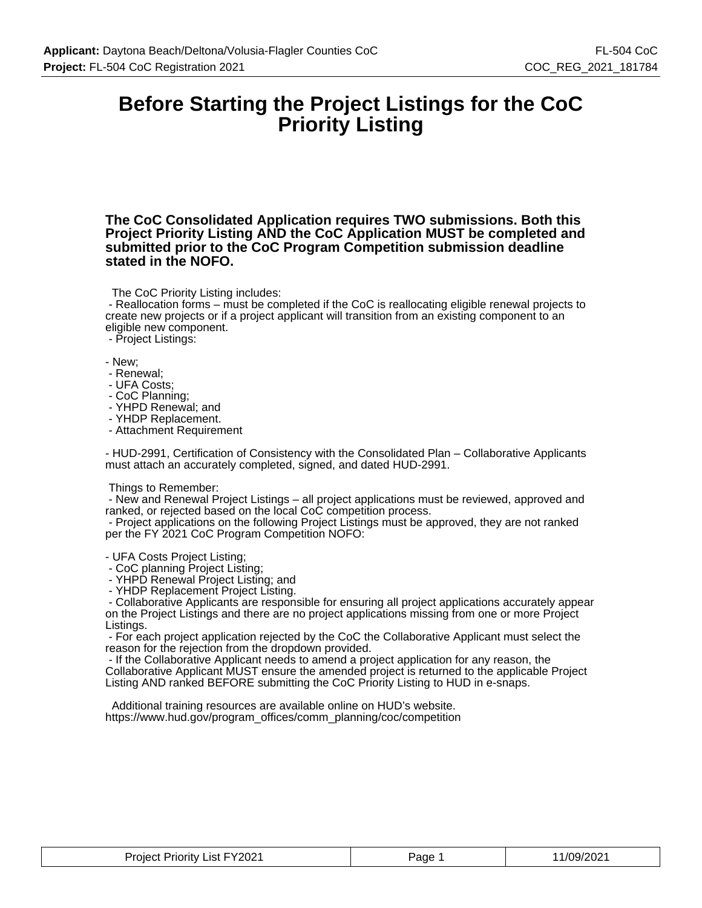### **Before Starting the Project Listings for the CoC Priority Listing**

**The CoC Consolidated Application requires TWO submissions. Both this Project Priority Listing AND the CoC Application MUST be completed and submitted prior to the CoC Program Competition submission deadline stated in the NOFO.**

The CoC Priority Listing includes:

 - Reallocation forms – must be completed if the CoC is reallocating eligible renewal projects to create new projects or if a project applicant will transition from an existing component to an eligible new component.

- Project Listings:

- New;

- Renewal;
- UFA Costs;
- CoC Planning;
- YHPD Renewal; and
- YHDP Replacement.
- Attachment Requirement

- HUD-2991, Certification of Consistency with the Consolidated Plan – Collaborative Applicants must attach an accurately completed, signed, and dated HUD-2991.

#### Things to Remember:

 - New and Renewal Project Listings – all project applications must be reviewed, approved and ranked, or rejected based on the local CoC competition process.

 - Project applications on the following Project Listings must be approved, they are not ranked per the FY 2021 CoC Program Competition NOFO:

- UFA Costs Project Listing;

- CoC planning Project Listing;

- YHPD Renewal Project Listing; and

- YHDP Replacement Project Listing.

 - Collaborative Applicants are responsible for ensuring all project applications accurately appear on the Project Listings and there are no project applications missing from one or more Project Listings.

 - For each project application rejected by the CoC the Collaborative Applicant must select the reason for the rejection from the dropdown provided.

 - If the Collaborative Applicant needs to amend a project application for any reason, the Collaborative Applicant MUST ensure the amended project is returned to the applicable Project Listing AND ranked BEFORE submitting the CoC Priority Listing to HUD in e-snaps.

 Additional training resources are available online on HUD's website. https://www.hud.gov/program\_offices/comm\_planning/coc/competition

| List FY2021<br><b>Priority</b><br>Project | Page | $\sqrt{ }$<br>- ירחריי<br>ے∪∠ יש |
|-------------------------------------------|------|----------------------------------|
|-------------------------------------------|------|----------------------------------|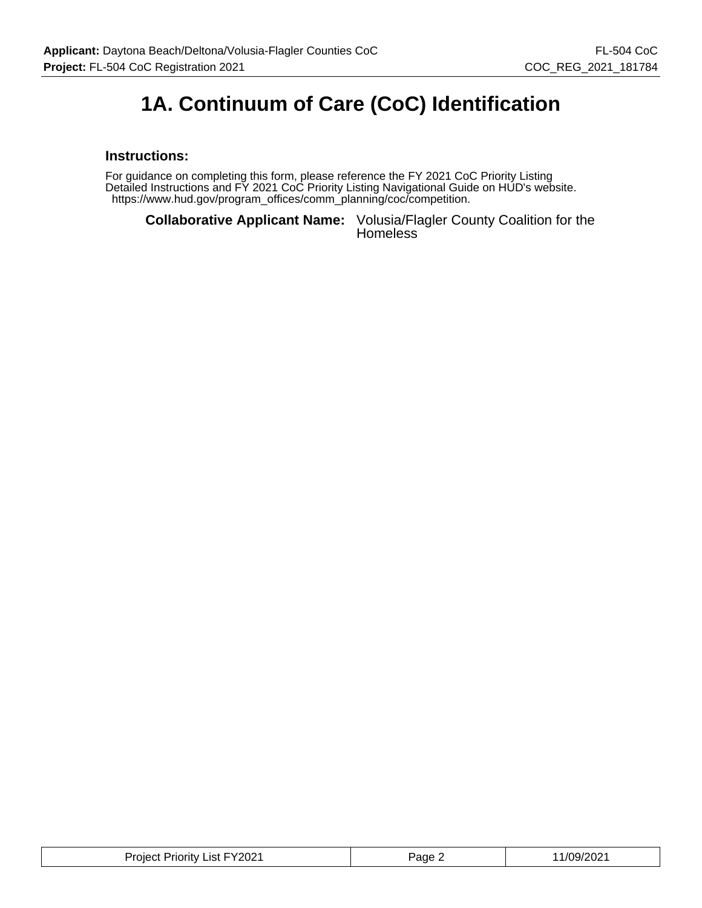## **1A. Continuum of Care (CoC) Identification**

#### **Instructions:**

For guidance on completing this form, please reference the FY 2021 CoC Priority Listing Detailed Instructions and FY 2021 CoC Priority Listing Navigational Guide on HUD's website. https://www.hud.gov/program\_offices/comm\_planning/coc/competition.

**Collaborative Applicant Name:** Volusia/Flagler County Coalition for the **Homeless** 

| : Priority List FY2021<br>Project <sup>*</sup> | Page ∠ | 1/09/202<br>______ |
|------------------------------------------------|--------|--------------------|
|------------------------------------------------|--------|--------------------|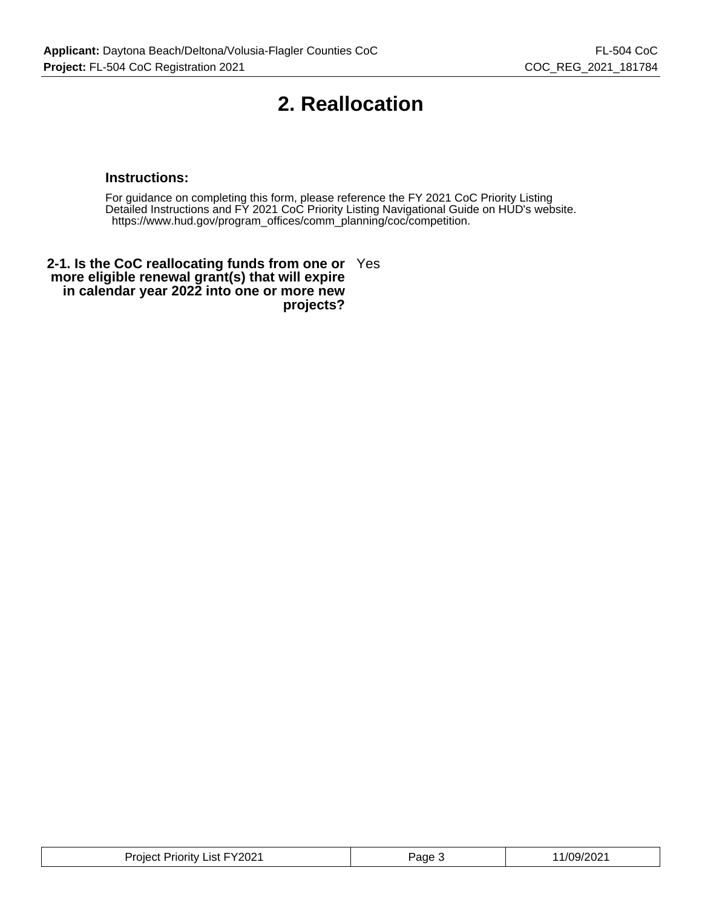### **2. Reallocation**

#### **Instructions:**

For guidance on completing this form, please reference the FY 2021 CoC Priority Listing Detailed Instructions and FY 2021 CoC Priority Listing Navigational Guide on HUD's website. https://www.hud.gov/program\_offices/comm\_planning/coc/competition.

**2-1. Is the CoC reallocating funds from one or** Yes **more eligible renewal grant(s) that will expire in calendar year 2022 into one or more new projects?**

| ⊢⊏∨ว∩ว4<br>uority.<br>.ıst<br>nıe<br>∠∪∠ | 'age | ירוכ<br>09/<br>$\cdots$ |
|------------------------------------------|------|-------------------------|
|------------------------------------------|------|-------------------------|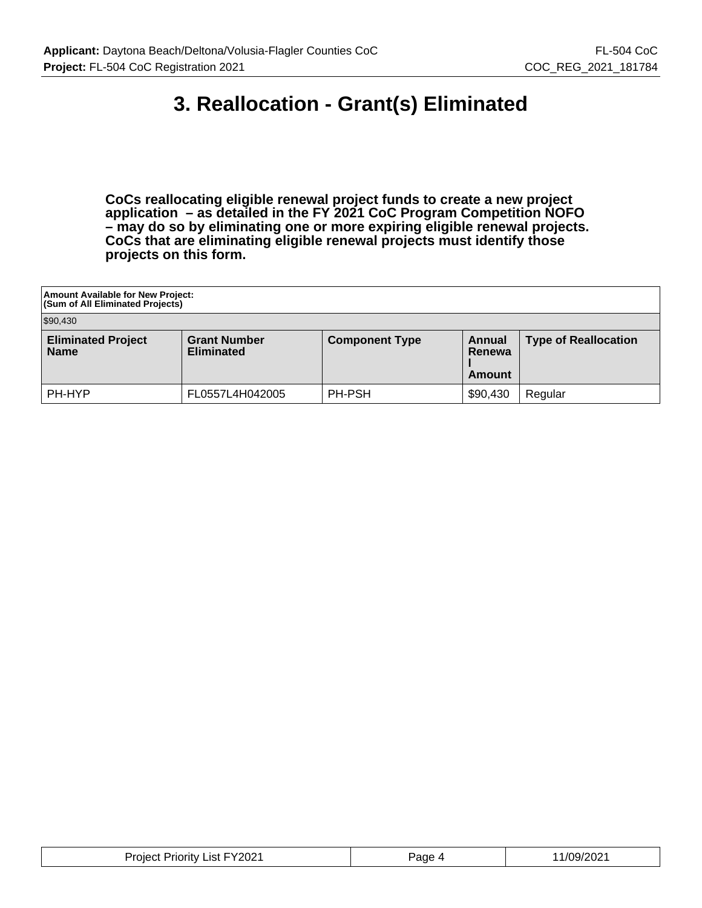### **3. Reallocation - Grant(s) Eliminated**

**CoCs reallocating eligible renewal project funds to create a new project application – as detailed in the FY 2021 CoC Program Competition NOFO – may do so by eliminating one or more expiring eligible renewal projects. CoCs that are eliminating eligible renewal projects must identify those projects on this form.**

| Amount Available for New Project:<br><b>(Sum of All Eliminated Projects)</b> |                                          |                       |                                   |                             |  |  |
|------------------------------------------------------------------------------|------------------------------------------|-----------------------|-----------------------------------|-----------------------------|--|--|
| \$90,430                                                                     |                                          |                       |                                   |                             |  |  |
| <b>Eliminated Project</b><br><b>Name</b>                                     | <b>Grant Number</b><br><b>Eliminated</b> | <b>Component Type</b> | <b>Annual</b><br>Renewa<br>Amount | <b>Type of Reallocation</b> |  |  |
| PH-HYP                                                                       | FL0557L4H042005                          | PH-PSH                | \$90,430                          | Regular                     |  |  |

| Project Priority List FY2021 | Page<br>- 21 | 1/09/2021 |
|------------------------------|--------------|-----------|
|------------------------------|--------------|-----------|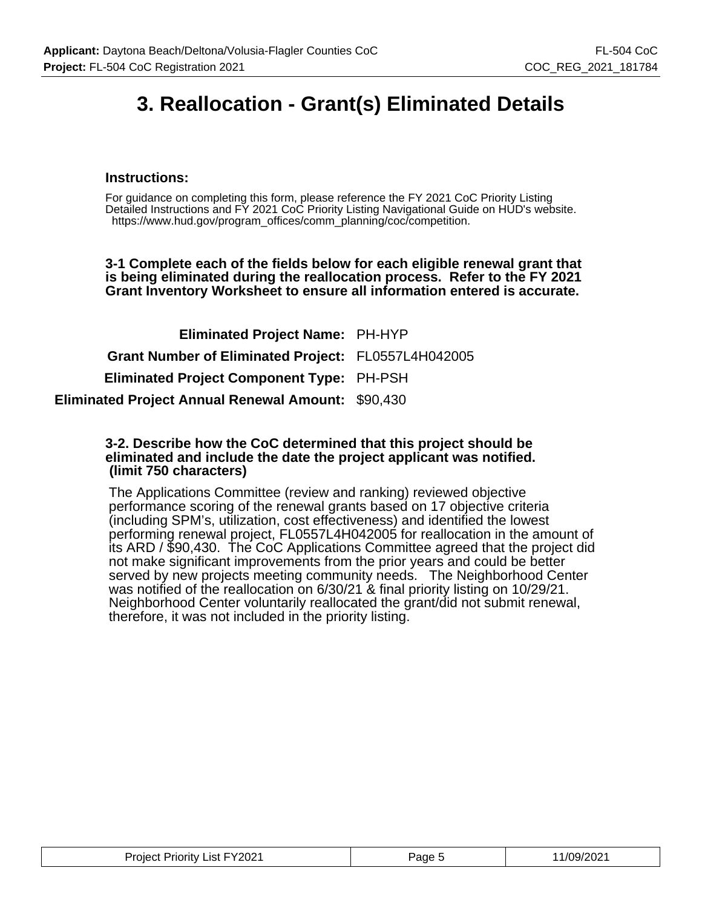## **3. Reallocation - Grant(s) Eliminated Details**

#### **Instructions:**

For guidance on completing this form, please reference the FY 2021 CoC Priority Listing Detailed Instructions and FY 2021 CoC Priority Listing Navigational Guide on HUD's website. https://www.hud.gov/program\_offices/comm\_planning/coc/competition.

**3-1 Complete each of the fields below for each eligible renewal grant that is being eliminated during the reallocation process. Refer to the FY 2021 Grant Inventory Worksheet to ensure all information entered is accurate.**

| <b>Eliminated Project Name: PH-HYP</b>                    |  |
|-----------------------------------------------------------|--|
| Grant Number of Eliminated Project: FL0557L4H042005       |  |
| <b>Eliminated Project Component Type: PH-PSH</b>          |  |
| <b>Eliminated Project Annual Renewal Amount: \$90,430</b> |  |

#### **3-2. Describe how the CoC determined that this project should be eliminated and include the date the project applicant was notified. (limit 750 characters)**

The Applications Committee (review and ranking) reviewed objective performance scoring of the renewal grants based on 17 objective criteria (including SPM's, utilization, cost effectiveness) and identified the lowest performing renewal project, FL0557L4H042005 for reallocation in the amount of its ARD / \$90,430. The CoC Applications Committee agreed that the project did not make significant improvements from the prior years and could be better served by new projects meeting community needs. The Neighborhood Center was notified of the reallocation on 6/30/21 & final priority listing on 10/29/21. Neighborhood Center voluntarily reallocated the grant/did not submit renewal, therefore, it was not included in the priority listing.

| <b>Project Priority List FY2021</b> | Page ' | 11/09/2021 |
|-------------------------------------|--------|------------|
|-------------------------------------|--------|------------|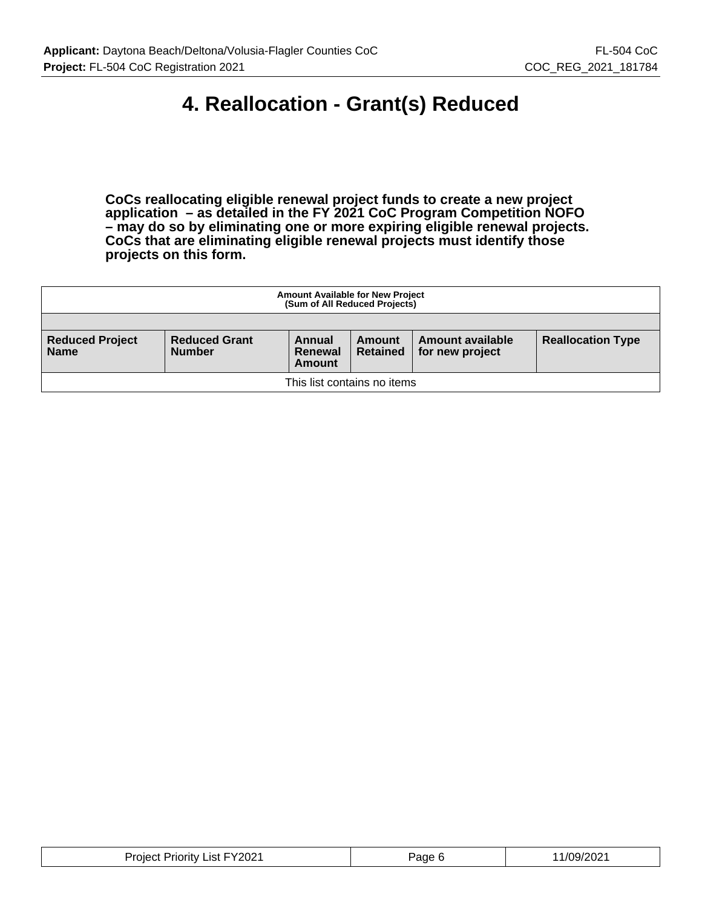## **4. Reallocation - Grant(s) Reduced**

**CoCs reallocating eligible renewal project funds to create a new project application – as detailed in the FY 2021 CoC Program Competition NOFO – may do so by eliminating one or more expiring eligible renewal projects. CoCs that are eliminating eligible renewal projects must identify those projects on this form.**

| <b>Amount Available for New Project</b><br>(Sum of All Reduced Projects) |                                       |                             |                           |                                     |                          |
|--------------------------------------------------------------------------|---------------------------------------|-----------------------------|---------------------------|-------------------------------------|--------------------------|
|                                                                          |                                       |                             |                           |                                     |                          |
| <b>Reduced Project</b><br><b>Name</b>                                    | <b>Reduced Grant</b><br><b>Number</b> | Annual<br>Renewal<br>Amount | Amount<br><b>Retained</b> | Amount available<br>for new project | <b>Reallocation Type</b> |
| This list contains no items                                              |                                       |                             |                           |                                     |                          |

| .Vana1<br>.ıst<br>Priority<br>.oler<br>.UZ<br>___ | ്ade | 2021<br>109/2 |
|---------------------------------------------------|------|---------------|
|---------------------------------------------------|------|---------------|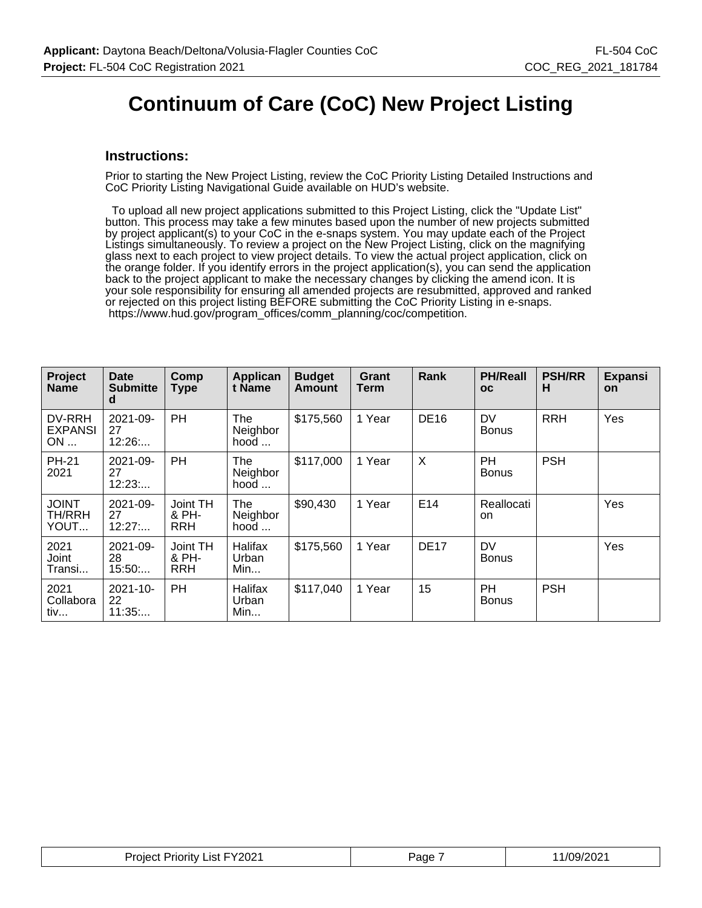### **Continuum of Care (CoC) New Project Listing**

#### **Instructions:**

Prior to starting the New Project Listing, review the CoC Priority Listing Detailed Instructions and CoC Priority Listing Navigational Guide available on HUD's website.

 To upload all new project applications submitted to this Project Listing, click the "Update List" button. This process may take a few minutes based upon the number of new projects submitted by project applicant(s) to your CoC in the e-snaps system. You may update each of the Project Listings simultaneously. To review a project on the New Project Listing, click on the magnifying glass next to each project to view project details. To view the actual project application, click on the orange folder. If you identify errors in the project application(s), you can send the application back to the project applicant to make the necessary changes by clicking the amend icon. It is your sole responsibility for ensuring all amended projects are resubmitted, approved and ranked or rejected on this project listing BEFORE submitting the CoC Priority Listing in e-snaps. https://www.hud.gov/program\_offices/comm\_planning/coc/competition.

| Project<br><b>Name</b>         | <b>Date</b><br><b>Submitte</b><br>d | Comp<br><b>Type</b>             | Applican<br>t Name              | <b>Budget</b><br>Amount | Grant<br>Term | Rank                      | <b>PH/Reall</b><br>oc     | <b>PSH/RR</b><br>н | <b>Expansi</b><br>on |
|--------------------------------|-------------------------------------|---------------------------------|---------------------------------|-------------------------|---------------|---------------------------|---------------------------|--------------------|----------------------|
| DV-RRH<br><b>EXPANSI</b><br>ON | 2021-09-<br>27<br>12:26             | PH                              | The<br>Neighbor<br>hood $\dots$ | \$175,560               | 1 Year        | <b>DE16</b>               | DV<br><b>Bonus</b>        | <b>RRH</b>         | Yes                  |
| <b>PH-21</b><br>2021           | 2021-09-<br>27<br>12:23             | PH                              | The<br>Neighbor<br>hood $\dots$ | \$117,000               | 1 Year        | $\boldsymbol{\mathsf{X}}$ | PH.<br><b>Bonus</b>       | <b>PSH</b>         |                      |
| <b>JOINT</b><br>TH/RRH<br>YOUT | $2021 - 09 -$<br>27<br>12:27        | Joint TH<br>& PH-<br><b>RRH</b> | The<br>Neighbor<br>hood $\dots$ | \$90,430                | 1 Year        | E14                       | Reallocati<br>on          |                    | Yes                  |
| 2021<br>Joint<br>Transi        | $2021 - 09 -$<br>28<br>15:50        | Joint TH<br>& PH-<br><b>RRH</b> | Halifax<br>Urban<br>Min         | \$175,560               | 1 Year        | <b>DE17</b>               | <b>DV</b><br><b>Bonus</b> |                    | Yes                  |
| 2021<br>Collabora<br>tiv       | 2021-10-<br>22<br>11:35             | PH                              | Halifax<br>Urban<br>Min         | \$117,040               | 1 Year        | 15                        | PH.<br><b>Bonus</b>       | <b>PSH</b>         |                      |

| Project Priority List FY2021 | Page | 1/09/2021 |
|------------------------------|------|-----------|
|------------------------------|------|-----------|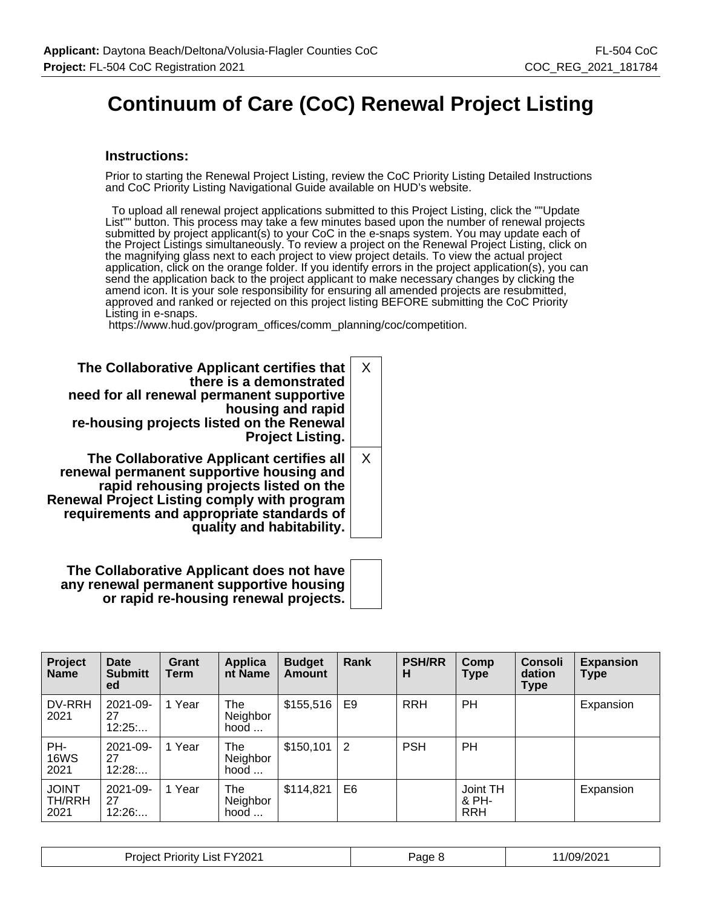# **Continuum of Care (CoC) Renewal Project Listing**

#### **Instructions:**

Prior to starting the Renewal Project Listing, review the CoC Priority Listing Detailed Instructions and CoC Priority Listing Navigational Guide available on HUD's website.

 To upload all renewal project applications submitted to this Project Listing, click the ""Update List"" button. This process may take a few minutes based upon the number of renewal projects submitted by project applicant(s) to your CoC in the e-snaps system. You may update each of the Project Listings simultaneously. To review a project on the Renewal Project Listing, click on the magnifying glass next to each project to view project details. To view the actual project application, click on the orange folder. If you identify errors in the project application(s), you can send the application back to the project applicant to make necessary changes by clicking the amend icon. It is your sole responsibility for ensuring all amended projects are resubmitted, approved and ranked or rejected on this project listing BEFORE submitting the CoC Priority Listing in e-snaps.

https://www.hud.gov/program\_offices/comm\_planning/coc/competition.

| The Collaborative Applicant certifies that<br>there is a demonstrated<br>need for all renewal permanent supportive<br>housing and rapid<br>re-housing projects listed on the Renewal<br><b>Project Listing.</b>                                                 | X        |
|-----------------------------------------------------------------------------------------------------------------------------------------------------------------------------------------------------------------------------------------------------------------|----------|
| The Collaborative Applicant certifies all<br>renewal permanent supportive housing and<br>rapid rehousing projects listed on the<br><b>Renewal Project Listing comply with program</b><br>requirements and appropriate standards of<br>quality and habitability. | $\times$ |

**The Collaborative Applicant does not have any renewal permanent supportive housing or rapid re-housing renewal projects.**

| Project<br><b>Name</b>         | <b>Date</b><br><b>Submitt</b><br>ed | Grant<br>Term | Applica<br>nt Name      | <b>Budget</b><br><b>Amount</b> | Rank | <b>PSH/RR</b><br>н | Comp<br>Type                    | <b>Consoli</b><br>dation<br><b>Type</b> | <b>Expansion</b><br><b>Type</b> |
|--------------------------------|-------------------------------------|---------------|-------------------------|--------------------------------|------|--------------------|---------------------------------|-----------------------------------------|---------------------------------|
| DV-RRH<br>2021                 | 2021-09-<br>27<br>12:25             | 1 Year        | The<br>Neighbor<br>hood | \$155,516                      | E9   | <b>RRH</b>         | PH                              |                                         | Expansion                       |
| PH-<br>16WS<br>2021            | 2021-09-<br>27<br>12:28             | 1 Year        | The<br>Neighbor<br>hood | \$150,101                      | 2    | <b>PSH</b>         | PH                              |                                         |                                 |
| <b>JOINT</b><br>TH/RRH<br>2021 | 2021-09-<br>27<br>12:26             | 1 Year        | The<br>Neighbor<br>hood | \$114,821                      | E6   |                    | Joint TH<br>& PH-<br><b>RRH</b> |                                         | Expansion                       |

| List FY2021<br><b>Project Priority</b> | Page <sup>P</sup> | 1/09/2021 |
|----------------------------------------|-------------------|-----------|
|----------------------------------------|-------------------|-----------|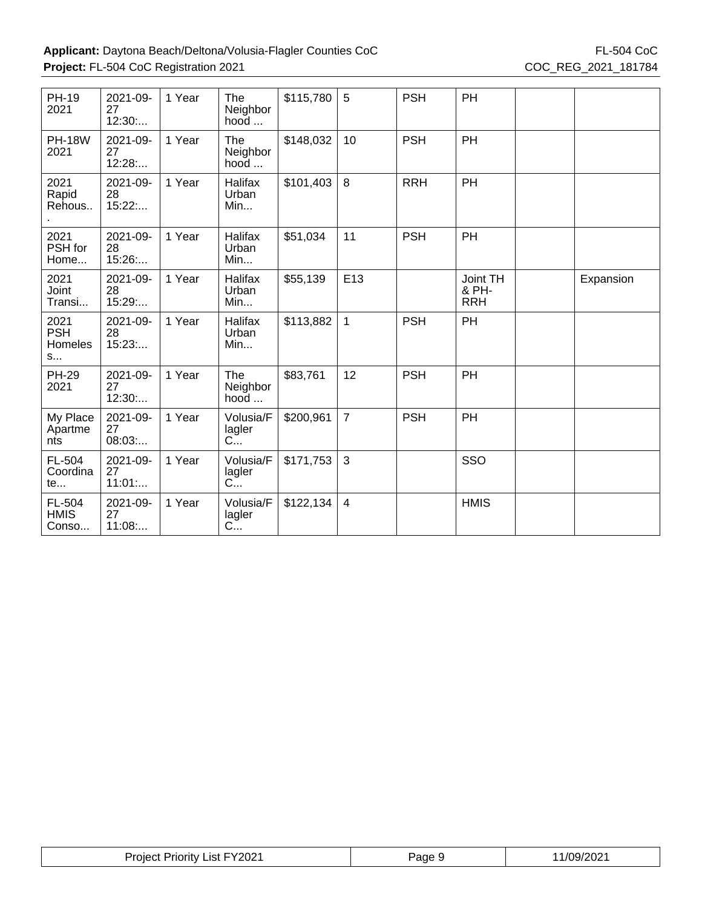| <b>PH-19</b><br>2021               | 2021-09-<br>27<br>12:30: | 1 Year | <b>The</b><br>Neighbor<br>$hood$    | \$115,780 | 5              | <b>PSH</b> | PH                              |           |
|------------------------------------|--------------------------|--------|-------------------------------------|-----------|----------------|------------|---------------------------------|-----------|
| <b>PH-18W</b><br>2021              | 2021-09-<br>27<br>12:28: | 1 Year | <b>The</b><br>Neighbor<br>$hood$    | \$148,032 | 10             | <b>PSH</b> | PH                              |           |
| 2021<br>Rapid<br>Rehous            | 2021-09-<br>28<br>15:22  | 1 Year | Halifax<br>Urban<br>Min             | \$101,403 | 8              | <b>RRH</b> | PH                              |           |
| 2021<br>PSH for<br>Home            | 2021-09-<br>28<br>15:26  | 1 Year | Halifax<br>Urban<br>Min             | \$51,034  | 11             | <b>PSH</b> | PH                              |           |
| 2021<br>Joint<br>Transi            | 2021-09-<br>28<br>15:29: | 1 Year | Halifax<br>Urban<br>Min             | \$55,139  | E13            |            | Joint TH<br>& PH-<br><b>RRH</b> | Expansion |
| 2021<br><b>PSH</b><br>Homeles<br>S | 2021-09-<br>28<br>15:23  | 1 Year | Halifax<br>Urban<br>Min             | \$113,882 | $\mathbf{1}$   | <b>PSH</b> | PH                              |           |
| <b>PH-29</b><br>2021               | 2021-09-<br>27<br>12:30  | 1 Year | The<br>Neighbor<br>hood             | \$83,761  | 12             | <b>PSH</b> | PH                              |           |
| My Place<br>Apartme<br>nts         | 2021-09-<br>27<br>08:03  | 1 Year | Volusia/F<br>lagler<br>$C_{\cdots}$ | \$200,961 | $\overline{7}$ | <b>PSH</b> | PH                              |           |
| FL-504<br>Coordina<br>te           | 2021-09-<br>27<br>11:01  | 1 Year | Volusia/F<br>lagler<br>$C_{\cdots}$ | \$171,753 | 3              |            | SSO                             |           |
| FL-504<br><b>HMIS</b><br>Conso     | 2021-09-<br>27<br>11:08  | 1 Year | Volusia/F<br>lagler<br>C            | \$122,134 | $\overline{4}$ |            | <b>HMIS</b>                     |           |

| <b>Project Priority List FY2021</b> | Page s | 11/09/2021 |
|-------------------------------------|--------|------------|
|-------------------------------------|--------|------------|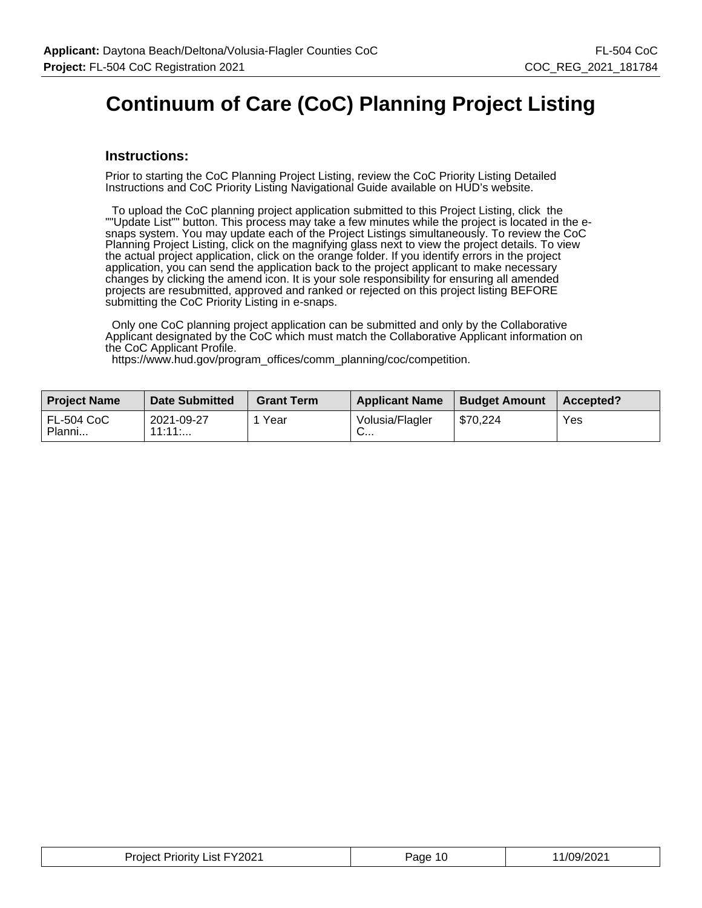# **Continuum of Care (CoC) Planning Project Listing**

#### **Instructions:**

Prior to starting the CoC Planning Project Listing, review the CoC Priority Listing Detailed Instructions and CoC Priority Listing Navigational Guide available on HUD's website.

 To upload the CoC planning project application submitted to this Project Listing, click the ""Update List"" button. This process may take a few minutes while the project is located in the esnaps system. You may update each of the Project Listings simultaneously. To review the CoC Planning Project Listing, click on the magnifying glass next to view the project details. To view the actual project application, click on the orange folder. If you identify errors in the project application, you can send the application back to the project applicant to make necessary changes by clicking the amend icon. It is your sole responsibility for ensuring all amended projects are resubmitted, approved and ranked or rejected on this project listing BEFORE submitting the CoC Priority Listing in e-snaps.

 Only one CoC planning project application can be submitted and only by the Collaborative Applicant designated by the CoC which must match the Collaborative Applicant information on the CoC Applicant Profile.

https://www.hud.gov/program\_offices/comm\_planning/coc/competition.

| <b>Project Name</b>         | <b>Date Submitted</b> | <b>Grant Term</b> | <b>Applicant Name</b>           | <b>Budget Amount</b> | Accepted? |
|-----------------------------|-----------------------|-------------------|---------------------------------|----------------------|-----------|
| <b>FL-504 CoC</b><br>Planni | 2021-09-27<br>11:11:  | Year              | Volusia/Flagler<br>$\sim$<br>◡… | \$70.224             | Yes       |

| <b>Project Priority List FY2021</b> | Page 10 | 11/09/2021 |
|-------------------------------------|---------|------------|
|-------------------------------------|---------|------------|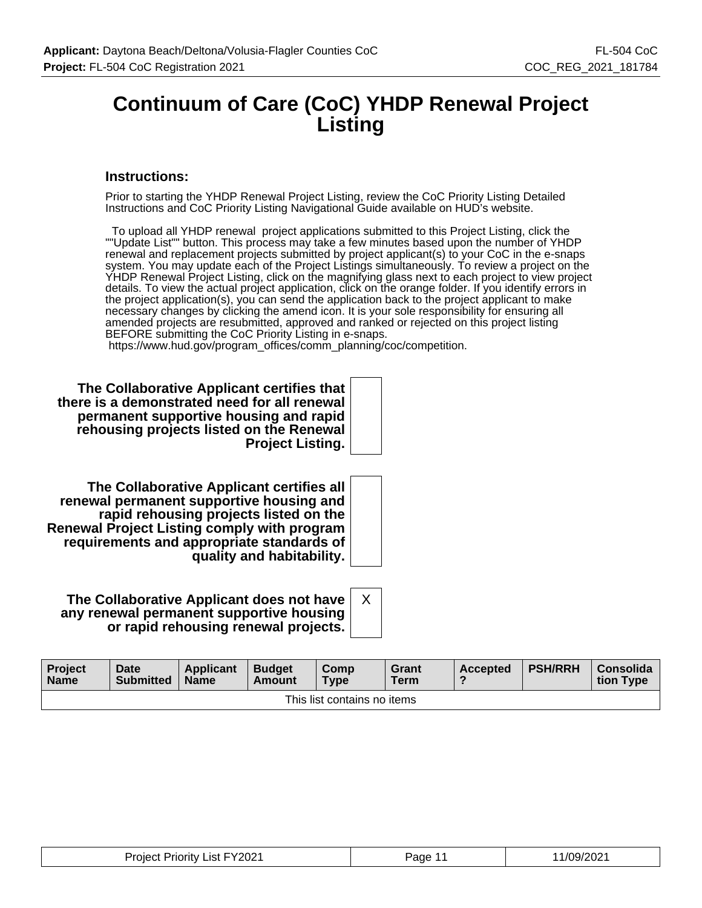### **Continuum of Care (CoC) YHDP Renewal Project Listing**

#### **Instructions:**

Prior to starting the YHDP Renewal Project Listing, review the CoC Priority Listing Detailed Instructions and CoC Priority Listing Navigational Guide available on HUD's website.

 To upload all YHDP renewal project applications submitted to this Project Listing, click the ""Update List"" button. This process may take a few minutes based upon the number of YHDP renewal and replacement projects submitted by project applicant(s) to your CoC in the e-snaps system. You may update each of the Project Listings simultaneously. To review a project on the YHDP Renewal Project Listing, click on the magnifying glass next to each project to view project details. To view the actual project application, click on the orange folder. If you identify errors in the project application(s), you can send the application back to the project applicant to make necessary changes by clicking the amend icon. It is your sole responsibility for ensuring all amended projects are resubmitted, approved and ranked or rejected on this project listing BEFORE submitting the CoC Priority Listing in e-snaps.

https://www.hud.gov/program\_offices/comm\_planning/coc/competition.

**The Collaborative Applicant certifies that there is a demonstrated need for all renewal permanent supportive housing and rapid rehousing projects listed on the Renewal Project Listing.**

**The Collaborative Applicant certifies all renewal permanent supportive housing and rapid rehousing projects listed on the Renewal Project Listing comply with program requirements and appropriate standards of quality and habitability.**

**The Collaborative Applicant does not have any renewal permanent supportive housing or rapid rehousing renewal projects.**

| <b>Project</b><br><b>Name</b> | Date<br><b>Submitted</b> | <b>Applicant</b><br><b>Name</b> | <b>Budget</b><br>Amount | Comp<br><b>Type</b> | Grant<br><b>Term</b> | <b>Accepted</b> | <b>PSH/RRH</b> | Consolida<br>tion Type |
|-------------------------------|--------------------------|---------------------------------|-------------------------|---------------------|----------------------|-----------------|----------------|------------------------|
| This list contains no items   |                          |                                 |                         |                     |                      |                 |                |                        |

X

| <b>Project Priority List FY2021</b> | Page 11 | 1/09/2021 |
|-------------------------------------|---------|-----------|
|-------------------------------------|---------|-----------|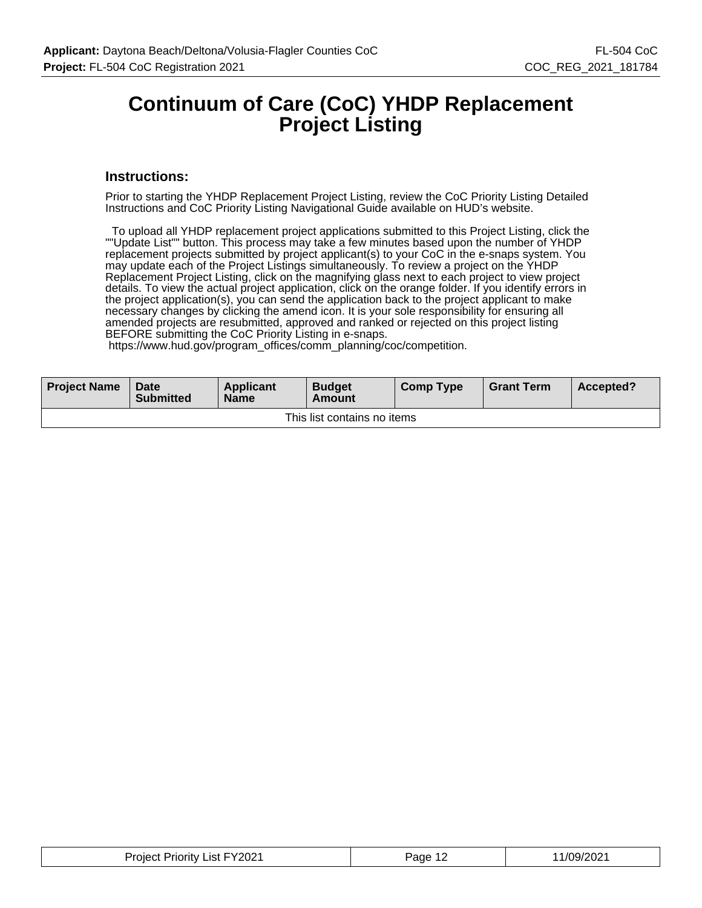### **Continuum of Care (CoC) YHDP Replacement Project Listing**

#### **Instructions:**

Prior to starting the YHDP Replacement Project Listing, review the CoC Priority Listing Detailed Instructions and CoC Priority Listing Navigational Guide available on HUD's website.

 To upload all YHDP replacement project applications submitted to this Project Listing, click the ""Update List"" button. This process may take a few minutes based upon the number of YHDP replacement projects submitted by project applicant(s) to your CoC in the e-snaps system. You may update each of the Project Listings simultaneously. To review a project on the YHDP Replacement Project Listing, click on the magnifying glass next to each project to view project details. To view the actual project application, click on the orange folder. If you identify errors in the project application(s), you can send the application back to the project applicant to make necessary changes by clicking the amend icon. It is your sole responsibility for ensuring all amended projects are resubmitted, approved and ranked or rejected on this project listing BEFORE submitting the CoC Priority Listing in e-snaps.

https://www.hud.gov/program\_offices/comm\_planning/coc/competition.

| <b>Project Name</b>         | Date<br><b>Submitted</b> | Applicant<br><b>Name</b> | <b>Budget</b><br>Amount | <b>Comp Type</b> | <b>Grant Term</b> | Accepted? |
|-----------------------------|--------------------------|--------------------------|-------------------------|------------------|-------------------|-----------|
| This list contains no items |                          |                          |                         |                  |                   |           |

| <b>Project Priority List FY2021</b> | Page 1 <sup>o</sup> | 1/09/2021 |
|-------------------------------------|---------------------|-----------|
|-------------------------------------|---------------------|-----------|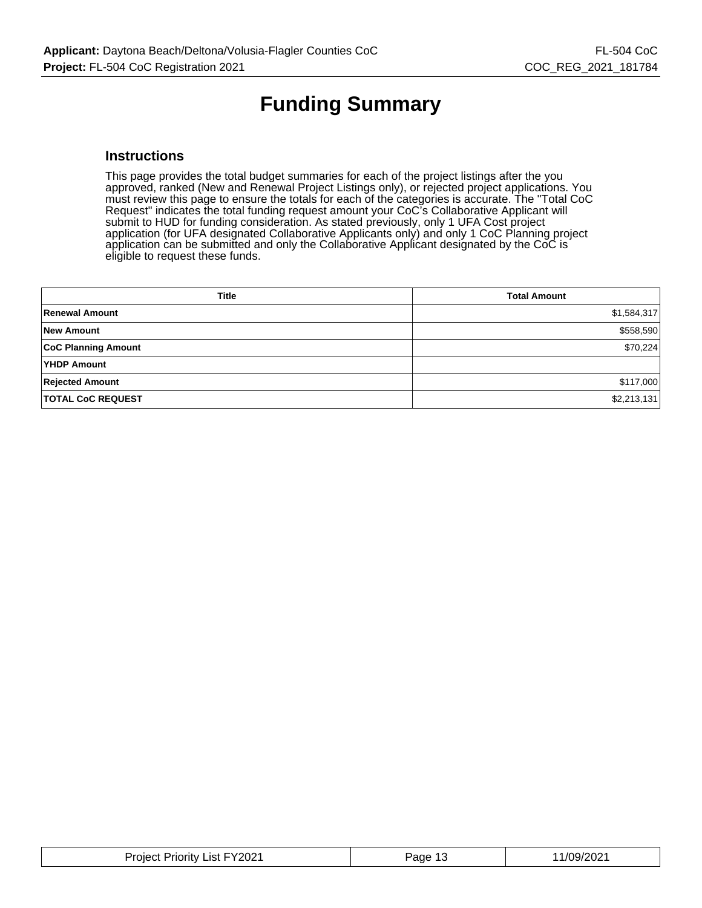# **Funding Summary**

#### **Instructions**

This page provides the total budget summaries for each of the project listings after the you approved, ranked (New and Renewal Project Listings only), or rejected project applications. You must review this page to ensure the totals for each of the categories is accurate. The "Total CoC Request" indicates the total funding request amount your CoC's Collaborative Applicant will submit to HUD for funding consideration. As stated previously, only 1 UFA Cost project application (for UFA designated Collaborative Applicants only) and only 1 CoC Planning project application can be submitted and only the Collaborative Applicant designated by the CoC is eligible to request these funds.

| <b>Title</b>               | <b>Total Amount</b> |
|----------------------------|---------------------|
| <b>Renewal Amount</b>      | \$1,584,317         |
| <b>New Amount</b>          | \$558,590           |
| <b>CoC Planning Amount</b> | \$70,224            |
| YHDP Amount                |                     |
| <b>Rejected Amount</b>     | \$117,000           |
| <b>TOTAL CoC REQUEST</b>   | \$2,213,131         |

| <b>Project Priority List FY2021</b> | Page 1 <sup>-1</sup> | 11/09/2021 |
|-------------------------------------|----------------------|------------|
|-------------------------------------|----------------------|------------|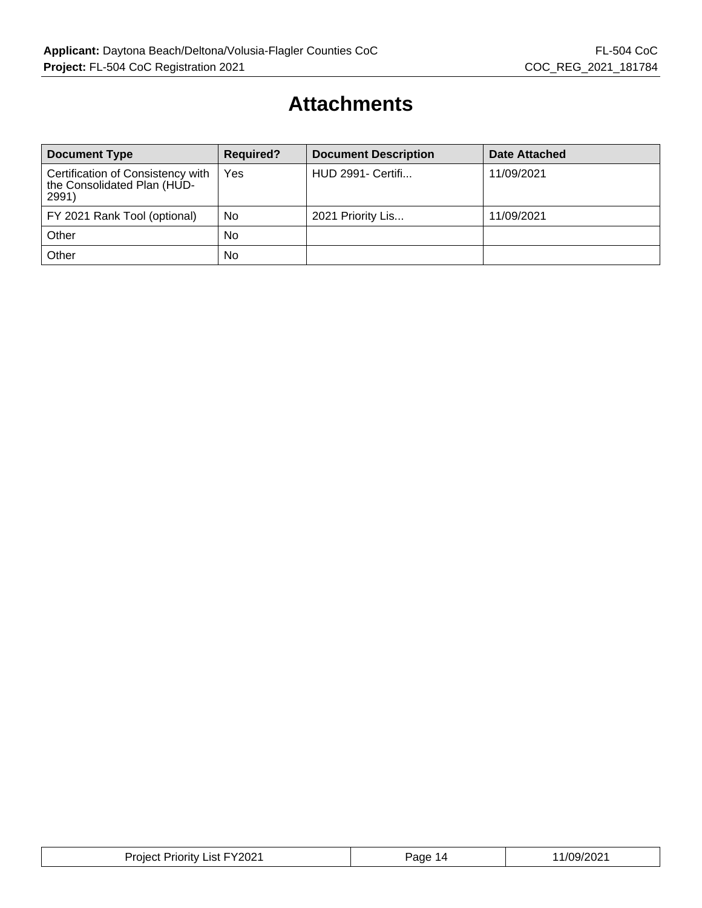### **Attachments**

| <b>Document Type</b>                                                      | <b>Required?</b> | <b>Document Description</b> | Date Attached |
|---------------------------------------------------------------------------|------------------|-----------------------------|---------------|
| Certification of Consistency with<br>the Consolidated Plan (HUD-<br>2991) | Yes              | <b>HUD 2991- Certifi</b>    | 11/09/2021    |
| FY 2021 Rank Tool (optional)                                              | No               | 2021 Priority Lis           | 11/09/2021    |
| Other                                                                     | <b>No</b>        |                             |               |
| Other                                                                     | <b>No</b>        |                             |               |

| <b>Project Priority List FY2021</b> | Page 14 | 11/09/2021 |
|-------------------------------------|---------|------------|
|-------------------------------------|---------|------------|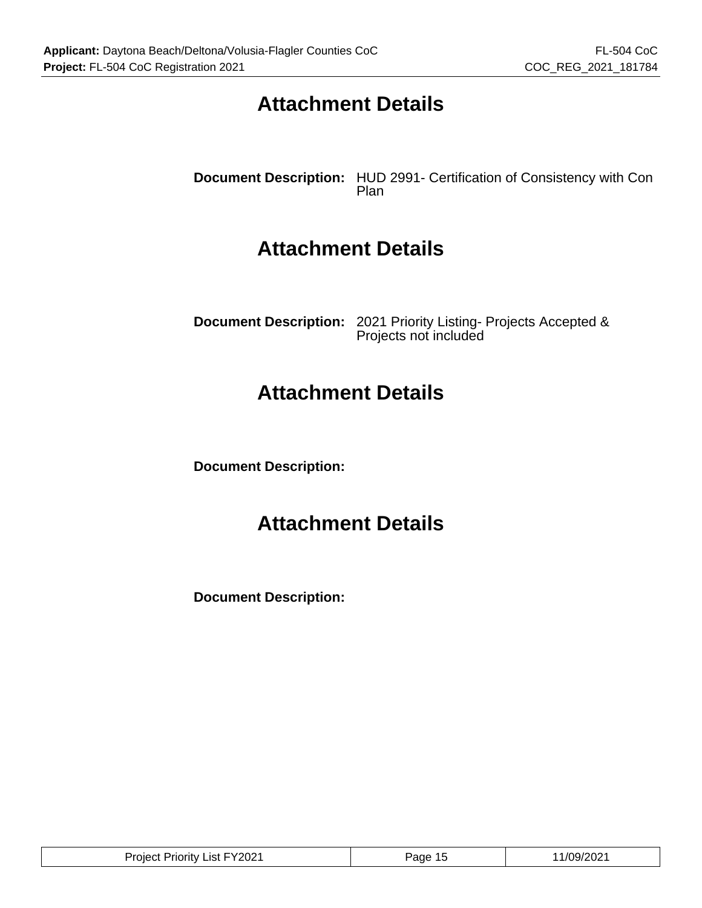### **Attachment Details**

**Document Description:** HUD 2991- Certification of Consistency with Con Plan

### **Attachment Details**

**Document Description:** 2021 Priority Listing- Projects Accepted & Projects not included

### **Attachment Details**

**Document Description:**

### **Attachment Details**

**Document Description:**

| . FY2021<br>.<br>Priority<br>.ıst.<br>. OIBC | 'ane' | /09/202<br>. . |
|----------------------------------------------|-------|----------------|
|----------------------------------------------|-------|----------------|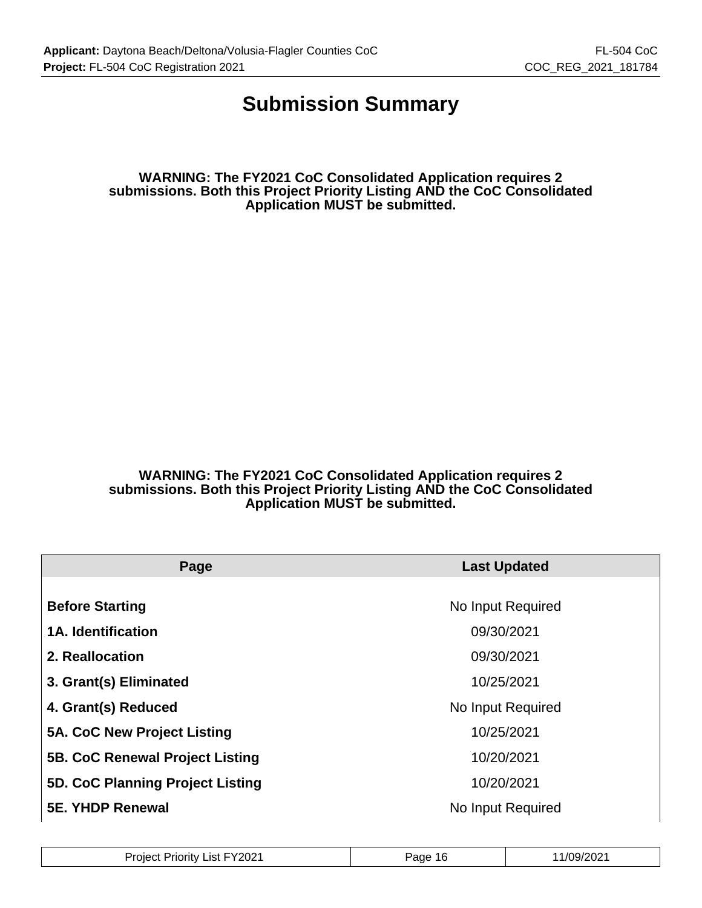### **Submission Summary**

**WARNING: The FY2021 CoC Consolidated Application requires 2 submissions. Both this Project Priority Listing AND the CoC Consolidated Application MUST be submitted.**

**WARNING: The FY2021 CoC Consolidated Application requires 2 submissions. Both this Project Priority Listing AND the CoC Consolidated Application MUST be submitted.**

| Page                             | <b>Last Updated</b> |
|----------------------------------|---------------------|
|                                  |                     |
| <b>Before Starting</b>           | No Input Required   |
| 1A. Identification               | 09/30/2021          |
| 2. Reallocation                  | 09/30/2021          |
| 3. Grant(s) Eliminated           | 10/25/2021          |
| 4. Grant(s) Reduced              | No Input Required   |
| 5A. CoC New Project Listing      | 10/25/2021          |
| 5B. CoC Renewal Project Listing  | 10/20/2021          |
| 5D. CoC Planning Project Listing | 10/20/2021          |
| <b>5E. YHDP Renewal</b>          | No Input Required   |

| FY2021<br>Project<br>.ıst<br>Priority ∟ | 16<br>Page | ാറാം<br>109/2<br>-UZ |
|-----------------------------------------|------------|----------------------|
|-----------------------------------------|------------|----------------------|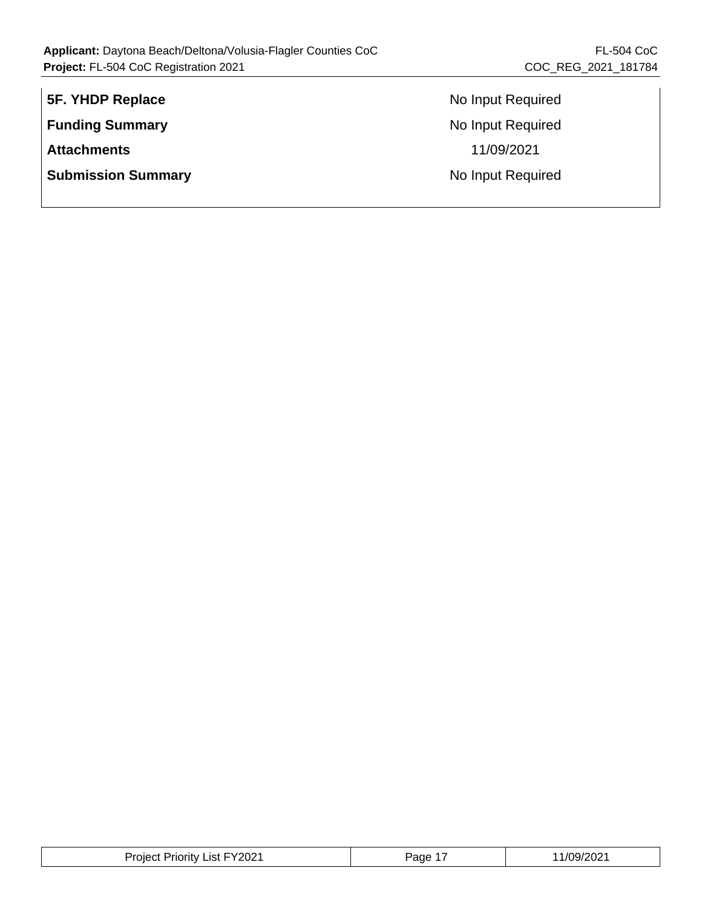| 5F. YHDP Replace          | Nc |
|---------------------------|----|
| <b>Funding Summary</b>    | Nc |
| <b>Attachments</b>        |    |
| <b>Submission Summary</b> | Nc |
|                           |    |

**Fig. 3** Input Required **Panding Summary** Input Required **Attachments** 11/09/2021 **Submishing Support Required** 

| Y2021:<br>.ıst<br><b>Arif</b><br>. noiect<br>чогь | Page | $-1$<br>ے ں۔ |
|---------------------------------------------------|------|--------------|
|---------------------------------------------------|------|--------------|

 $\mathbb{L}$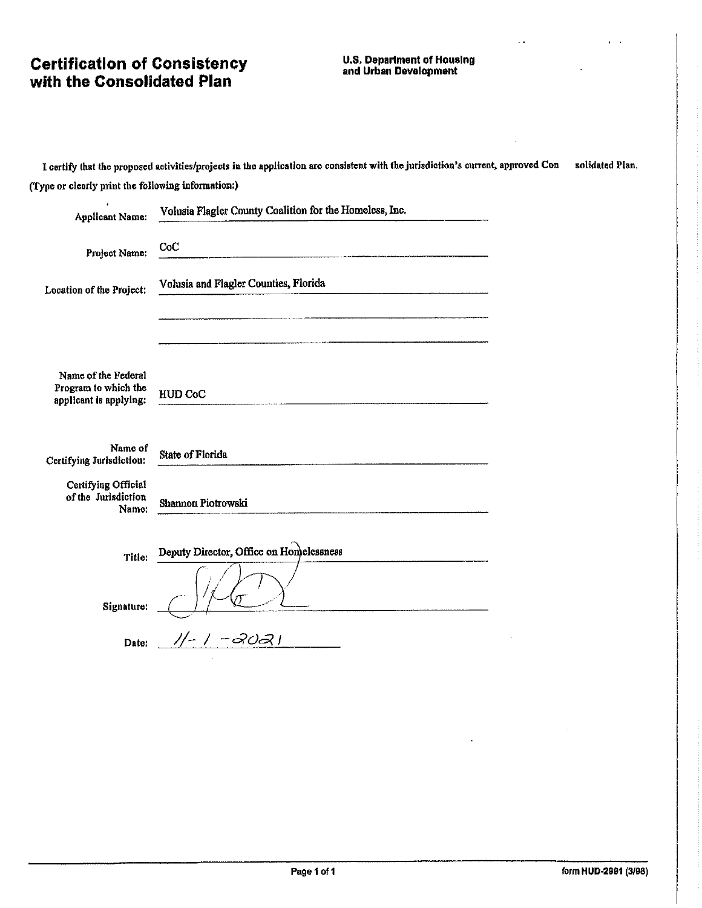# **Certification of Consistency<br>with the Consolidated Plan**

# **U.S. Department of Housing<br>and Urban Development**

 $\mathcal{L}(\mathbf{r})$ 

 $\mathbf{r}$ 

|                                                     | I certify that the proposed activities/projects in the application are consistent with the jurisdiction's current, approved Con                                                                                                                                                                                                                                                                                                                                                   | solidated Plan. |
|-----------------------------------------------------|-----------------------------------------------------------------------------------------------------------------------------------------------------------------------------------------------------------------------------------------------------------------------------------------------------------------------------------------------------------------------------------------------------------------------------------------------------------------------------------|-----------------|
| (Type or clearly print the following information:)  |                                                                                                                                                                                                                                                                                                                                                                                                                                                                                   |                 |
| <b>Applicant Name:</b>                              | Volusia Flagler County Coalition for the Homeless, Inc.                                                                                                                                                                                                                                                                                                                                                                                                                           |                 |
| Project Name:                                       | CoC<br>$\frac{1}{2} \left( \frac{1}{2} \right) \left( \frac{1}{2} \right) \left( \frac{1}{2} \right) \left( \frac{1}{2} \right) \left( \frac{1}{2} \right) \left( \frac{1}{2} \right) \left( \frac{1}{2} \right) \left( \frac{1}{2} \right) \left( \frac{1}{2} \right) \left( \frac{1}{2} \right) \left( \frac{1}{2} \right) \left( \frac{1}{2} \right) \left( \frac{1}{2} \right) \left( \frac{1}{2} \right) \left( \frac{1}{2} \right) \left( \frac{1}{2} \right) \left( \frac$ |                 |
| Location of the Project:                            | Volusia and Flagler Counties, Florida                                                                                                                                                                                                                                                                                                                                                                                                                                             |                 |
|                                                     |                                                                                                                                                                                                                                                                                                                                                                                                                                                                                   |                 |
| Name of the Federal                                 |                                                                                                                                                                                                                                                                                                                                                                                                                                                                                   |                 |
| Program to which the<br>applicant is applying:      | HUD CoC                                                                                                                                                                                                                                                                                                                                                                                                                                                                           |                 |
| Name of<br>Certifying Jurisdiction:                 | State of Florida                                                                                                                                                                                                                                                                                                                                                                                                                                                                  |                 |
| Certifying Official<br>of the Jurisdiction<br>Name: | Shannon Piotrowski                                                                                                                                                                                                                                                                                                                                                                                                                                                                |                 |
| Title:                                              | Deputy Director, Office on Homelessness                                                                                                                                                                                                                                                                                                                                                                                                                                           |                 |
| Signature:                                          |                                                                                                                                                                                                                                                                                                                                                                                                                                                                                   |                 |
| Date:                                               | -2021                                                                                                                                                                                                                                                                                                                                                                                                                                                                             |                 |

t.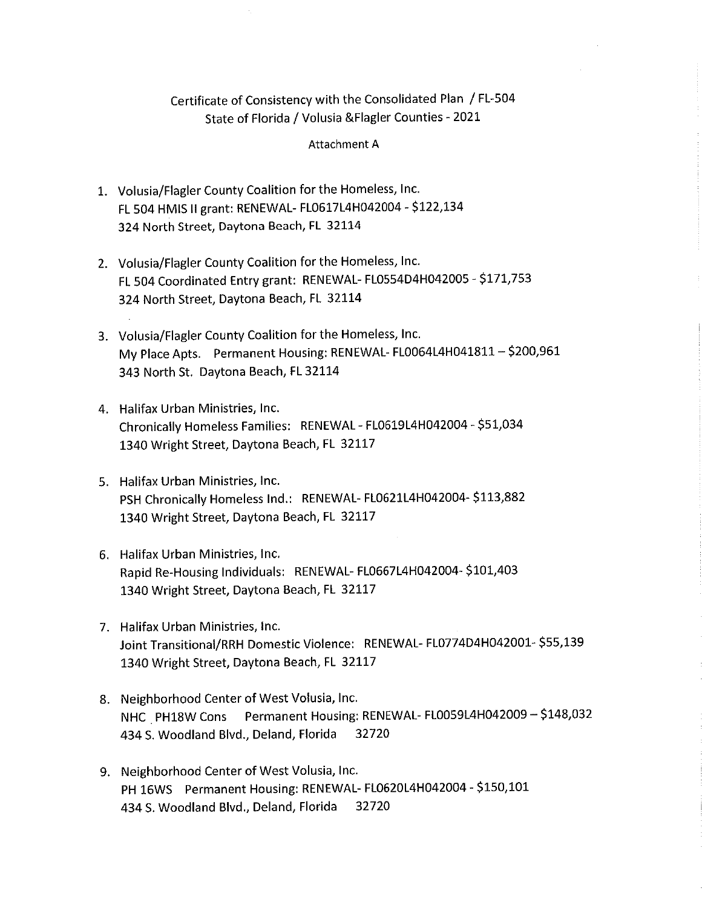#### Certificate of Consistency with the Consolidated Plan / FL-504 State of Florida / Volusia & Flagler Counties - 2021

#### Attachment A

- 1. Volusia/Flagler County Coalition for the Homeless, Inc. FL 504 HMIS II grant: RENEWAL- FL0617L4H042004 - \$122,134 324 North Street, Daytona Beach, FL 32114
- 2. Volusia/Flagler County Coalition for the Homeless, Inc. FL 504 Coordinated Entry grant: RENEWAL-FL0554D4H042005 - \$171,753 324 North Street, Daytona Beach, FL 32114
- 3. Volusia/Flagler County Coalition for the Homeless, Inc. My Place Apts. Permanent Housing: RENEWAL-FL0064L4H041811 - \$200,961 343 North St. Daytona Beach, FL 32114
- 4. Halifax Urban Ministries, Inc. Chronically Homeless Families: RENEWAL - FL0619L4H042004 - \$51,034 1340 Wright Street, Daytona Beach, FL 32117
- 5. Halifax Urban Ministries, Inc. PSH Chronically Homeless Ind.: RENEWAL-FL0621L4H042004-\$113,882 1340 Wright Street, Daytona Beach, FL 32117
- 6. Halifax Urban Ministries, Inc. Rapid Re-Housing Individuals: RENEWAL-FL0667L4H042004-\$101,403 1340 Wright Street, Daytona Beach, FL 32117
- 7. Halifax Urban Ministries, Inc. Joint Transitional/RRH Domestic Violence: RENEWAL-FL0774D4H042001-\$55,139 1340 Wright Street, Daytona Beach, FL 32117
- 8. Neighborhood Center of West Volusia, Inc. NHC PH18W Cons Permanent Housing: RENEWAL-FL0059L4H042009 - \$148,032 32720 434 S. Woodland Blvd., Deland, Florida
- 9. Neighborhood Center of West Volusia, Inc. PH 16WS Permanent Housing: RENEWAL-FL0620L4H042004 - \$150,101 32720 434 S. Woodland Blvd., Deland, Florida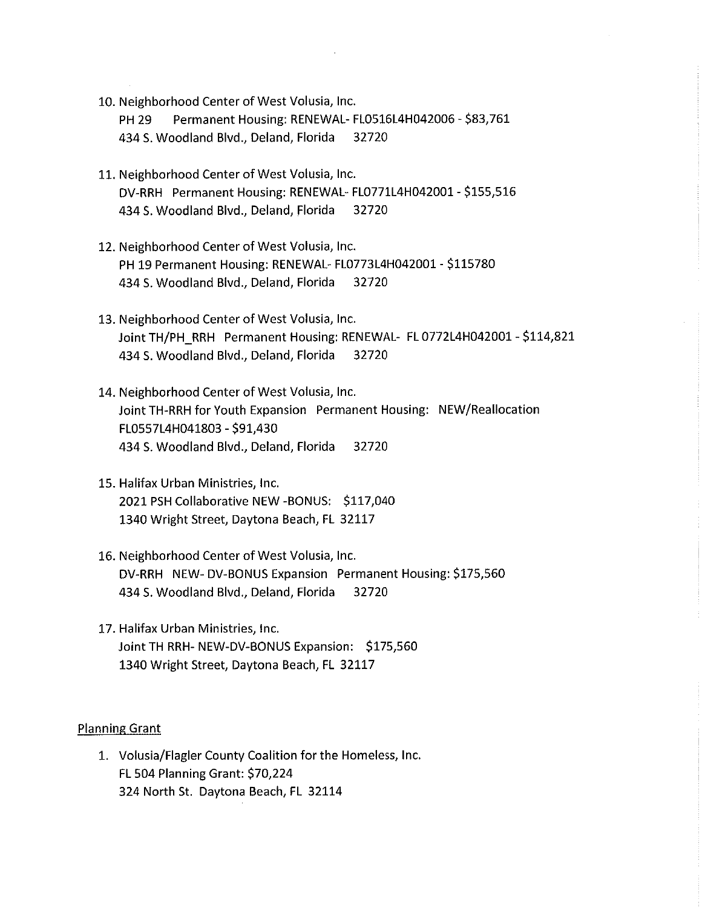10. Neighborhood Center of West Volusia, Inc.

**PH 29** Permanent Housing: RENEWAL- FL0516L4H042006 - \$83,761 434 S. Woodland Blvd., Deland, Florida 32720

- 11. Neighborhood Center of West Volusia, Inc. DV-RRH Permanent Housing: RENEWAL-FL0771L4H042001 - \$155,516 434 S. Woodland Blvd., Deland, Florida 32720
- 12. Neighborhood Center of West Volusia, Inc. PH 19 Permanent Housing: RENEWAL-FL0773L4H042001 - \$115780 434 S. Woodland Blvd., Deland, Florida 32720
- 13. Neighborhood Center of West Volusia, Inc. Joint TH/PH\_RRH\_Permanent Housing: RENEWAL-\_FL 0772L4H042001 - \$114,821 434 S. Woodland Blvd., Deland, Florida 32720
- 14. Neighborhood Center of West Volusia, Inc. Joint TH-RRH for Youth Expansion Permanent Housing: NEW/Reallocation FL0557L4H041803 - \$91,430 434 S. Woodland Blvd., Deland, Florida 32720
- 15. Halifax Urban Ministries, Inc. 2021 PSH Collaborative NEW -BONUS: \$117,040 1340 Wright Street, Daytona Beach, FL 32117
- 16. Neighborhood Center of West Volusia, Inc. DV-RRH NEW-DV-BONUS Expansion Permanent Housing: \$175,560 434 S. Woodland Blvd., Deland, Florida 32720
- 17. Halifax Urban Ministries, Inc. Joint TH RRH- NEW-DV-BONUS Expansion: \$175,560 1340 Wright Street, Daytona Beach, FL 32117

#### **Planning Grant**

1. Volusia/Flagler County Coalition for the Homeless, Inc. **FL 504 Planning Grant: \$70,224** 324 North St. Daytona Beach, FL 32114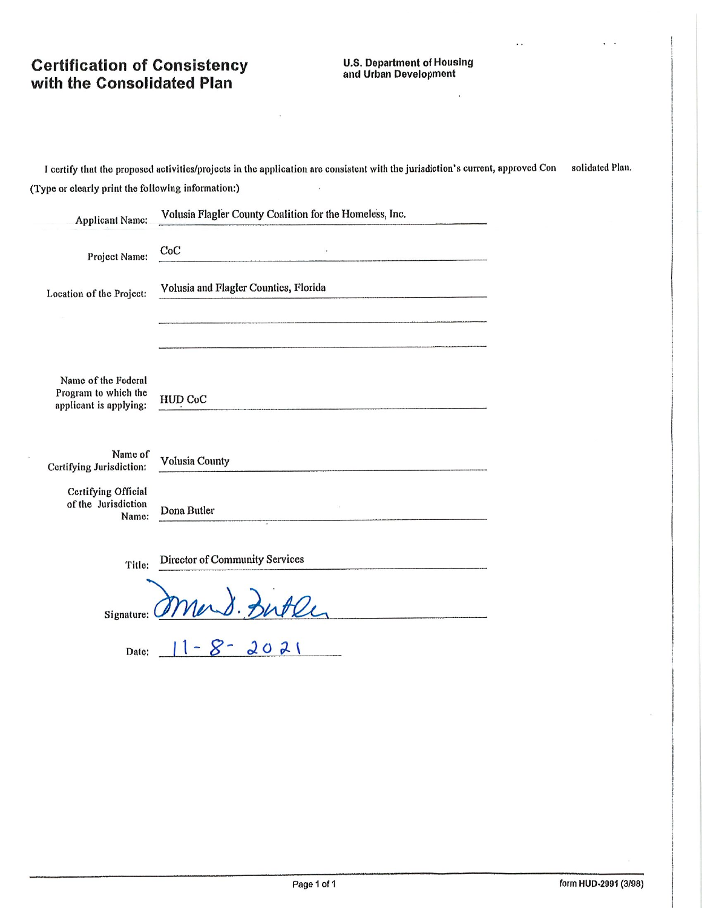# **Certification of Consistency<br>with the Consolidated Plan**

#### **U.S. Department of Housing** and Urban Development

Î.

 $\ddot{\phantom{0}}$ 

I certify that the proposed activities/projects in the application are consistent with the jurisdiction's current, approved Consolidated Plan. (Type or clearly print the following information:)

 $\ddot{\phantom{0}}$ 

| <b>Applicant Name:</b>                                                | Volusia Flagler County Coalition for the Homeless, Inc. |
|-----------------------------------------------------------------------|---------------------------------------------------------|
| Project Name:                                                         | CoC                                                     |
| Location of the Project:                                              | Volusia and Flagler Counties, Florida                   |
|                                                                       |                                                         |
| Name of the Federal<br>Program to which the<br>applicant is applying: | <b>HUD CoC</b>                                          |
| Name of<br>Certifying Jurisdiction:                                   | <b>Volusia County</b>                                   |
| Certifying Official<br>of the Jurisdiction<br>Name:                   | Dona Butler                                             |
| Title:                                                                | <b>Director of Community Services</b>                   |
| Signature:                                                            | Mand. Butle                                             |
| Date:                                                                 | $8 - 2021$                                              |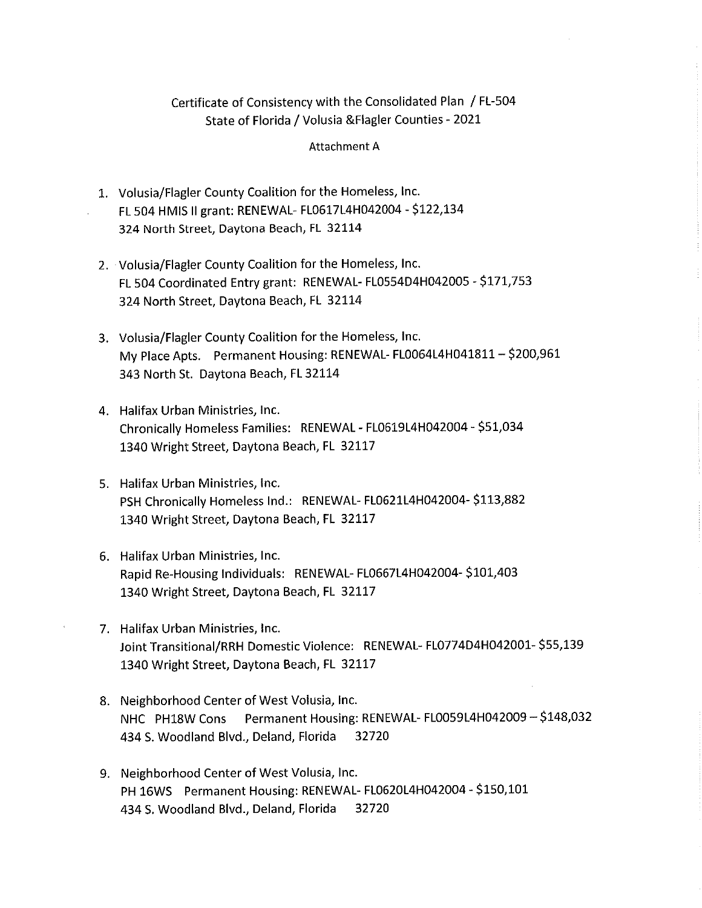#### Certificate of Consistency with the Consolidated Plan / FL-504 State of Florida / Volusia & Flagler Counties - 2021

#### Attachment A

- 1. Volusia/Flagler County Coalition for the Homeless, Inc. FL 504 HMIS II grant: RENEWAL-FL0617L4H042004 - \$122,134 324 North Street, Daytona Beach, FL 32114
- 2. Volusia/Flagler County Coalition for the Homeless, Inc. FL 504 Coordinated Entry grant: RENEWAL-FL0554D4H042005 - \$171,753 324 North Street, Daytona Beach, FL 32114
- 3. Volusia/Flagler County Coalition for the Homeless, Inc. My Place Apts. Permanent Housing: RENEWAL-FL0064L4H041811 - \$200,961 343 North St. Daytona Beach, FL 32114
- 4. Halifax Urban Ministries, Inc. Chronically Homeless Families: RENEWAL - FL0619L4H042004 - \$51,034 1340 Wright Street, Daytona Beach, FL 32117
- 5. Halifax Urban Ministries, Inc. PSH Chronically Homeless Ind.: RENEWAL-FL0621L4H042004-\$113,882 1340 Wright Street, Daytona Beach, FL 32117
- 6. Halifax Urban Ministries, Inc. Rapid Re-Housing Individuals: RENEWAL-FL0667L4H042004-\$101,403 1340 Wright Street, Daytona Beach, FL 32117
- 7. Halifax Urban Ministries, Inc. Joint Transitional/RRH Domestic Violence: RENEWAL-FL0774D4H042001-\$55,139 1340 Wright Street, Daytona Beach, FL 32117
- 8. Neighborhood Center of West Volusia, Inc. Permanent Housing: RENEWAL-FL0059L4H042009 - \$148,032 NHC PH18W Cons 434 S. Woodland Blvd., Deland, Florida 32720
- 9. Neighborhood Center of West Volusia, Inc. PH 16WS Permanent Housing: RENEWAL-FL0620L4H042004 - \$150,101 434 S. Woodland Blvd., Deland, Florida 32720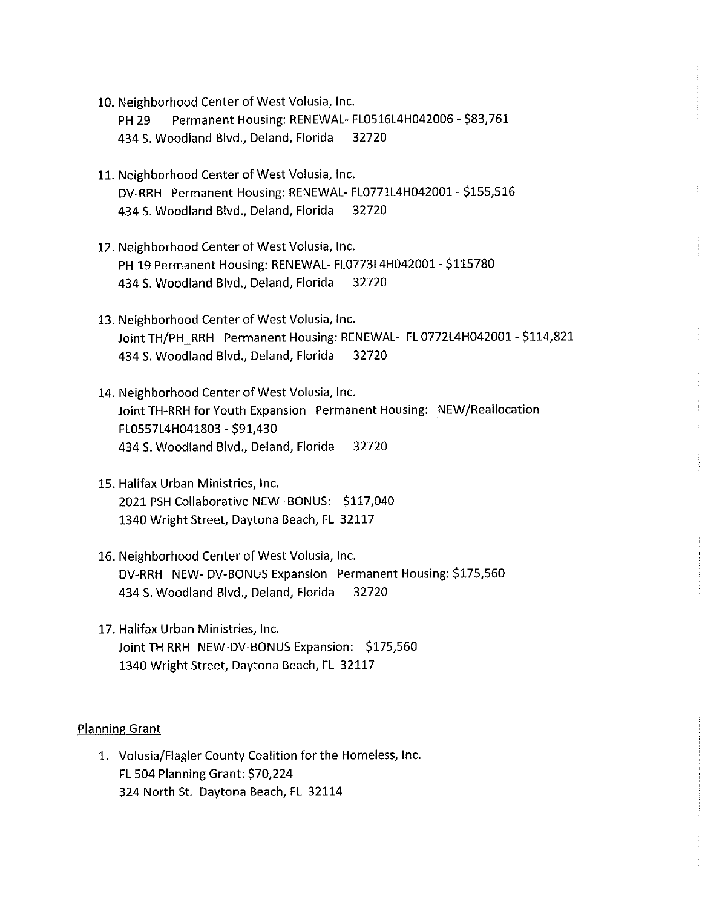10. Neighborhood Center of West Volusia, Inc.

**PH 29** Permanent Housing: RENEWAL-FL0516L4H042006 - \$83,761 434 S. Woodland Blvd., Deland, Florida 32720

- 11. Neighborhood Center of West Volusia, Inc. DV-RRH Permanent Housing: RENEWAL- FL0771L4H042001 - \$155,516 434 S. Woodland Blvd., Deland, Florida 32720
- 12. Neighborhood Center of West Volusia, Inc. PH 19 Permanent Housing: RENEWAL- FL0773L4H042001 - \$115780 434 S. Woodland Blvd., Deland, Florida 32720
- 13. Neighborhood Center of West Volusia, Inc. Joint TH/PH\_RRH Permanent Housing: RENEWAL- FL 0772L4H042001 - \$114,821 434 S. Woodland Blvd., Deland, Florida 32720
- 14. Neighborhood Center of West Volusia, Inc. Joint TH-RRH for Youth Expansion Permanent Housing: NEW/Reallocation FL0557L4H041803 - \$91,430 434 S. Woodland Blvd., Deland, Florida 32720
- 15. Halifax Urban Ministries, Inc. 2021 PSH Collaborative NEW -BONUS: \$117,040 1340 Wright Street, Daytona Beach, FL 32117
- 16. Neighborhood Center of West Volusia, Inc. DV-RRH NEW-DV-BONUS Expansion Permanent Housing: \$175,560 434 S. Woodland Blvd., Deland, Florida 32720
- 17. Halifax Urban Ministries, Inc. Joint TH RRH- NEW-DV-BONUS Expansion: \$175,560 1340 Wright Street, Daytona Beach, FL 32117

#### **Planning Grant**

1. Volusia/Flagler County Coalition for the Homeless, Inc. FL 504 Planning Grant: \$70,224 324 North St. Daytona Beach, FL 32114